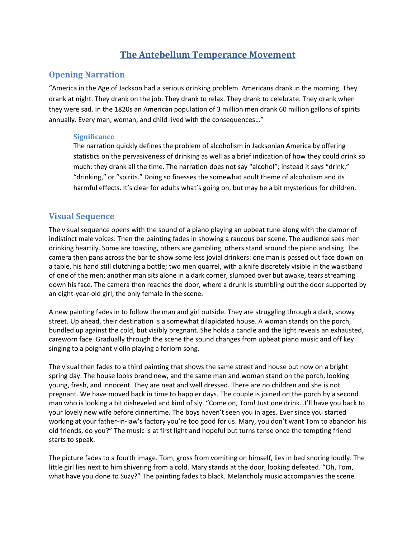# **The Antebellum Temperance Movement**

### **Opening Narration**

"America in the Age of Jackson had a serious drinking problem. Americans drank in the morning. They drank at night. They drank on the job. They drank to relax. They drank to celebrate. They drank when they were sad. In the 1820s an American population of 3 million men drank 60 million gallons of spirits annually. Every man, woman, and child lived with the consequences…"

#### **Significance**

The narration quickly defines the problem of alcoholism in Jacksonian America by offering statistics on the pervasiveness of drinking as well as a brief indication of how they could drink so much: they drank all the time. The narration does not say "alcohol"; instead it says "drink," "drinking," or "spirits." Doing so finesses the somewhat adult theme of alcoholism and its harmful effects. It's clear for adults what's going on, but may be a bit mysterious for children.

### **Visual Sequence**

The visual sequence opens with the sound of a piano playing an upbeat tune along with the clamor of indistinct male voices. Then the painting fades in showing a raucous bar scene. The audience sees men drinking heartily. Some are toasting, others are gambling, others stand around the piano and sing. The camera then pans across the bar to show some less jovial drinkers: one man is passed out face down on a table, his hand still clutching a bottle; two men quarrel, with a knife discretely visible in the waistband of one of the men; another man sits alone in a dark corner, slumped over but awake, tears streaming down his face. The camera then reaches the door, where a drunk is stumbling out the door supported by an eight-year-old girl, the only female in the scene.

A new painting fades in to follow the man and girl outside. They are struggling through a dark, snowy street. Up ahead, their destination is a somewhat dilapidated house. A woman stands on the porch, bundled up against the cold, but visibly pregnant. She holds a candle and the light reveals an exhausted, careworn face. Gradually through the scene the sound changes from upbeat piano music and off key singing to a poignant violin playing a forlorn song.

The visual then fades to a third painting that shows the same street and house but now on a bright spring day. The house looks brand new, and the same man and woman stand on the porch, looking young, fresh, and innocent. They are neat and well dressed. There are no children and she is not pregnant. We have moved back in time to happier days. The couple is joined on the porch by a second man who is looking a bit disheveled and kind of sly. "Come on, Tom! Just one drink…I'll have you back to your lovely new wife before dinnertime. The boys haven't seen you in ages. Ever since you started working at your father-in-law's factory you're too good for us. Mary, you don't want Tom to abandon his old friends, do you?" The music is at first light and hopeful but turns tense once the tempting friend starts to speak.

The picture fades to a fourth image. Tom, gross from vomiting on himself, lies in bed snoring loudly. The little girl lies next to him shivering from a cold. Mary stands at the door, looking defeated. "Oh, Tom, what have you done to Suzy?" The painting fades to black. Melancholy music accompanies the scene.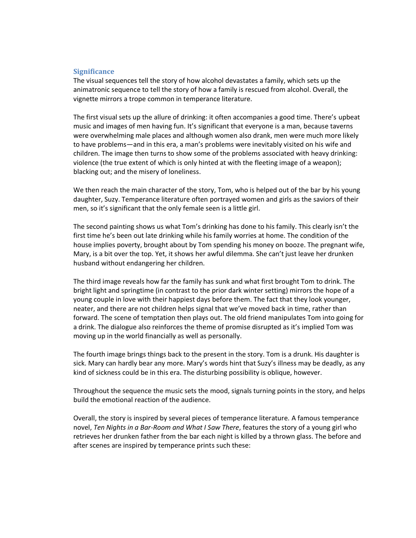#### **Significance**

The visual sequences tell the story of how alcohol devastates a family, which sets up the animatronic sequence to tell the story of how a family is rescued from alcohol. Overall, the vignette mirrors a trope common in temperance literature.

The first visual sets up the allure of drinking: it often accompanies a good time. There's upbeat music and images of men having fun. It's significant that everyone is a man, because taverns were overwhelming male places and although women also drank, men were much more likely to have problems—and in this era, a man's problems were inevitably visited on his wife and children. The image then turns to show some of the problems associated with heavy drinking: violence (the true extent of which is only hinted at with the fleeting image of a weapon); blacking out; and the misery of loneliness.

We then reach the main character of the story, Tom, who is helped out of the bar by his young daughter, Suzy. Temperance literature often portrayed women and girls as the saviors of their men, so it's significant that the only female seen is a little girl.

The second painting shows us what Tom's drinking has done to his family. This clearly isn't the first time he's been out late drinking while his family worries at home. The condition of the house implies poverty, brought about by Tom spending his money on booze. The pregnant wife, Mary, is a bit over the top. Yet, it shows her awful dilemma. She can't just leave her drunken husband without endangering her children.

The third image reveals how far the family has sunk and what first brought Tom to drink. The bright light and springtime (in contrast to the prior dark winter setting) mirrors the hope of a young couple in love with their happiest days before them. The fact that they look younger, neater, and there are not children helps signal that we've moved back in time, rather than forward. The scene of temptation then plays out. The old friend manipulates Tom into going for a drink. The dialogue also reinforces the theme of promise disrupted as it's implied Tom was moving up in the world financially as well as personally.

The fourth image brings things back to the present in the story. Tom is a drunk. His daughter is sick. Mary can hardly bear any more. Mary's words hint that Suzy's illness may be deadly, as any kind of sickness could be in this era. The disturbing possibility is oblique, however.

Throughout the sequence the music sets the mood, signals turning points in the story, and helps build the emotional reaction of the audience.

Overall, the story is inspired by several pieces of temperance literature. A famous temperance novel, *Ten Nights in a Bar-Room and What I Saw There*, features the story of a young girl who retrieves her drunken father from the bar each night is killed by a thrown glass. The before and after scenes are inspired by temperance prints such these: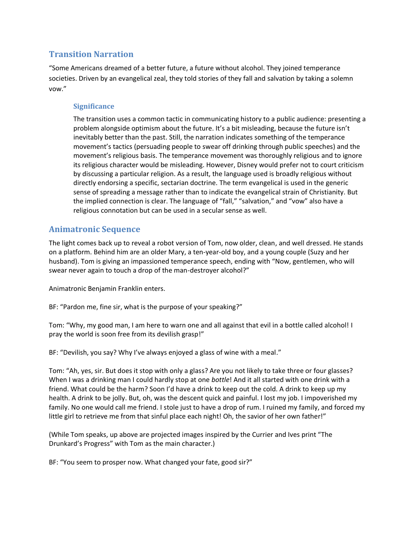### **Transition Narration**

"Some Americans dreamed of a better future, a future without alcohol. They joined temperance societies. Driven by an evangelical zeal, they told stories of they fall and salvation by taking a solemn vow."

### **Significance**

The transition uses a common tactic in communicating history to a public audience: presenting a problem alongside optimism about the future. It's a bit misleading, because the future isn't inevitably better than the past. Still, the narration indicates something of the temperance movement's tactics (persuading people to swear off drinking through public speeches) and the movement's religious basis. The temperance movement was thoroughly religious and to ignore its religious character would be misleading. However, Disney would prefer not to court criticism by discussing a particular religion. As a result, the language used is broadly religious without directly endorsing a specific, sectarian doctrine. The term evangelical is used in the generic sense of spreading a message rather than to indicate the evangelical strain of Christianity. But the implied connection is clear. The language of "fall," "salvation," and "vow" also have a religious connotation but can be used in a secular sense as well.

## **Animatronic Sequence**

The light comes back up to reveal a robot version of Tom, now older, clean, and well dressed. He stands on a platform. Behind him are an older Mary, a ten-year-old boy, and a young couple (Suzy and her husband). Tom is giving an impassioned temperance speech, ending with "Now, gentlemen, who will swear never again to touch a drop of the man-destroyer alcohol?"

Animatronic Benjamin Franklin enters.

BF: "Pardon me, fine sir, what is the purpose of your speaking?"

Tom: "Why, my good man, I am here to warn one and all against that evil in a bottle called alcohol! I pray the world is soon free from its devilish grasp!"

BF: "Devilish, you say? Why I've always enjoyed a glass of wine with a meal."

Tom: "Ah, yes, sir. But does it stop with only a glass? Are you not likely to take three or four glasses? When I was a drinking man I could hardly stop at one *bottle*! And it all started with one drink with a friend. What could be the harm? Soon I'd have a drink to keep out the cold. A drink to keep up my health. A drink to be jolly. But, oh, was the descent quick and painful. I lost my job. I impoverished my family. No one would call me friend. I stole just to have a drop of rum. I ruined my family, and forced my little girl to retrieve me from that sinful place each night! Oh, the savior of her own father!"

(While Tom speaks, up above are projected images inspired by the Currier and Ives print "The Drunkard's Progress" with Tom as the main character.)

BF: "You seem to prosper now. What changed your fate, good sir?"